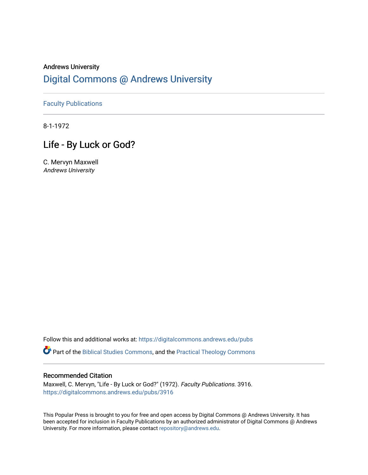## Andrews University [Digital Commons @ Andrews University](https://digitalcommons.andrews.edu/)

[Faculty Publications](https://digitalcommons.andrews.edu/pubs)

8-1-1972

## Life - By Luck or God?

C. Mervyn Maxwell Andrews University

Follow this and additional works at: [https://digitalcommons.andrews.edu/pubs](https://digitalcommons.andrews.edu/pubs?utm_source=digitalcommons.andrews.edu%2Fpubs%2F3916&utm_medium=PDF&utm_campaign=PDFCoverPages) 

Part of the [Biblical Studies Commons,](http://network.bepress.com/hgg/discipline/539?utm_source=digitalcommons.andrews.edu%2Fpubs%2F3916&utm_medium=PDF&utm_campaign=PDFCoverPages) and the [Practical Theology Commons](http://network.bepress.com/hgg/discipline/1186?utm_source=digitalcommons.andrews.edu%2Fpubs%2F3916&utm_medium=PDF&utm_campaign=PDFCoverPages) 

### Recommended Citation

Maxwell, C. Mervyn, "Life - By Luck or God?" (1972). Faculty Publications. 3916. [https://digitalcommons.andrews.edu/pubs/3916](https://digitalcommons.andrews.edu/pubs/3916?utm_source=digitalcommons.andrews.edu%2Fpubs%2F3916&utm_medium=PDF&utm_campaign=PDFCoverPages) 

This Popular Press is brought to you for free and open access by Digital Commons @ Andrews University. It has been accepted for inclusion in Faculty Publications by an authorized administrator of Digital Commons @ Andrews University. For more information, please contact [repository@andrews.edu](mailto:repository@andrews.edu).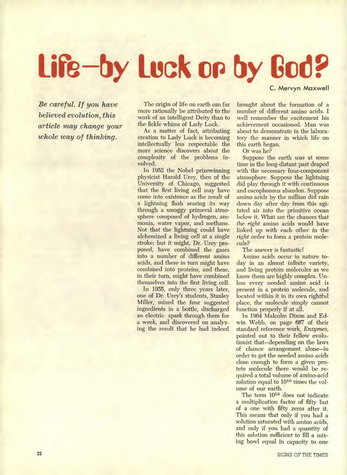# **Lire by Luck on by God? C. Mervyn Maxwell**

*Be careful. If you have believed evolution, this article may change your whole way of thinking.* 

The origin of life on earth can far more rationally be attributed to the work of an intelligent Deity than to the fickle whims of Lady Luck.

As a matter of fact, attributing creation to Lady Luck is becoming intellectually less respectable the more science discovers about the complexity of the problems involved.

In 1952 the Nobel prizewinning physicist Harold Urey, then of the University of Chicago, suggested that the first living cell may have come into existence as the result of a lightning flash searing its way through a smoggy primeval atmosphere composed of hydrogen, ammonia, water vapor, and methane. Not that the lightning could have alchemized a living cell at a single stroke; but it might, Dr. Urey proposed, have combined the gases into a number of different amino acids, and these in turn might have combined into proteins, and these, in their turn, might have combined themselves into the first living cell.

In 1955, only three years later, one of Dr. Urey's students, Stanley Miller, mixed the four suggested ingredients in a bottle, discharged an electric spark through them for a week, and discovered on analyzing the result that he had indeed brought about the formation of a number of different amino acids. I well remember the excitement his achievement occasioned. Man was about to demonstrate in the labora-

tory the manner in which life on

this earth began. Or was he?

Suppose the earth *was* at some time in the long-distant past draped with the necessary four-component atmosphere. Suppose the lightning did play through it with continuous and cacophonous abandon. Suppose amino acids by the million did rain down day after day from this agitated air into the primitive ocean below it. What are the chances that the *right* amino acids would have linked up with each other in the *right* order to form a protein molecule?

The answer is fantastic!

Amino acids occur in nature today in an almost infinite variety, and living protein molecules as we know them are highly complex. Unless every needed amino acid is present in a protein molecule, and located within it in its own rightful place, the molecule simply cannot function properly if at all.

In 1964 Malcolm Dixon and Edwin Webb, on page 667 of their standard reference work, *Enzymes,*  pointed out to their fellow evolutionist that—depending on the laws of chance arrangement alone—in order to get the needed amino acids close enough to form a given protein molecule there would be required a total volume of amino-acid solution equal to  $10^{50}$  times the volume of our earth.

The term 10<sup>50</sup> does not indicate a multiplication factor of fifty but of a one with fifty zeros after it. This means that only if you had a solution saturated with amino acids, and only if you had a quantity of this solution sufficient to fill a mixing bowl equal in capacity to one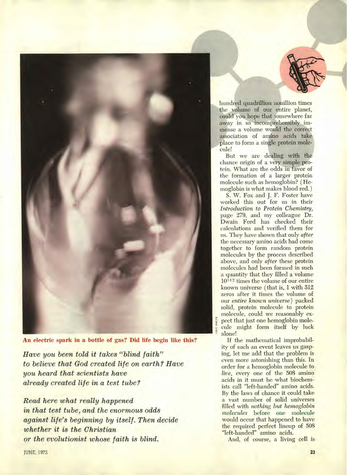

**An electric spark in a bottle of gas? Did life begin like this?** 

*Have you been told it takes "blind faith" to believe that God created life on earth? Have you heard that scientists have already created life in a test tube?* 

*Read here what really happened in that test tube, and the enormous odds against life's beginning by itself. Then decide whether it is the Christian or the evolutionist whose faith is blind.* 



hundred quadrillion nonillion times the volume of our entire planet, could you hope that somewhere **far**  away in so incomprehensibly immense a **volume** would the correct association of amino acids take place to form a single protein molecule!

But we are dealing with the chance origin of a very simple protein. What are the odds in favor of the formation of a larger protein molecule such as hemoglobin? ( Hemoglobin is what makes blood red. )

S. W. Fox and **J. F.** Foster have worked this out for us in their *Introduction to Protein Chemistry,*  page 279, and my colleague Dr. Dwain Ford has checked their calculations and verified them for us. They have shown that only *after*  the necessary amino acids had come together to form random protein molecules by the process described above, and only *after* these protein molecules had been formed in such a quantity that they filled a volume  $10^{512}$  times the volume of our entire known universe (that is, **1 with 512**  zeros after it times the volume of our *entire known universe)* packed solid, protein molecule **to protein**  molecule, could we reasonably expect that just one hemoglobin **mole**cule might form itself by luck alone!

If the mathematical improbability of such an event leaves us gasping, let me add that the **problem is even more astonishing than this. In order for a hemoglobin molecule to**  *live,* every one of the **508 amino acids in it must be what biochemists call "left-handed" amino acids. By the laws of chance it could take a vast number of solid universes filled with** *nothing but hemoglobin molecules* **before one molecule would occur that happened to have the required perfect lineup of 508 "left-handed" amino acids.** 

**And, of course, a living cell is**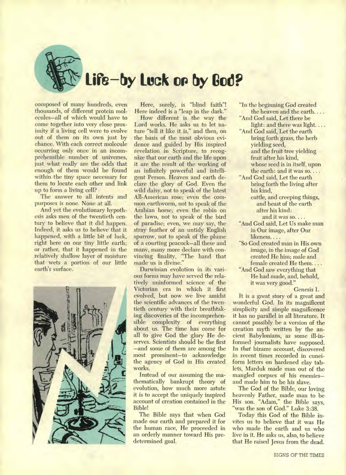

**composed of many hundreds, even thousands, of different protein molecules—all of which would have to come together into very close proximity if a living cell were to evolve out of them on its own just by chance. With each correct molecule occurring only once in an incomprehensible number of universes, just what really are the odds that enough of them would be found within the tiny space necessary for them to locate each other and link up to form a living cell?** 

**The answer to all intents and purposes is none. None at all.** 

**And yet the evolutionary hypothesis asks men of the twentieth century to believe that it did happen. Indeed, it asks us to believe that it happened, with a little bit of luck, right here on our tiny little earth; or rather, that it happened in the relatively shallow layer of moisture that wets a portion of our little earth's surface.** 



**Here, surely, is "blind faith"! Here indeed is a "leap in the dark."** 

**How different is the way the Lord works. He asks us to let nature "tell it like it is," and then, on the basis of the most obvious evidence and guided by His inspired revelation in Scripture, to recognize that our earth and the life upon it are the result of the working of an infinitely powerful and intelligent Person. Heaven and earth declare the glory of God. Even the wild daisy, not to speak of the latest All-American rose; even the common earthworm, not to speak of the Arabian horse; even the robin on the lawn, not to speak of the bird of paradise; even, we may say, the stray feather of an untidy English sparrow, not to speak of the plume of a courting peacock—all these and many, many more declare with convincing finality, "The hand that made'us is divine."** 

**Darwinian evolution in its various forms may have served the relatively uninformed science of the Victorian era in which it first evolved, but now we live amidst the scientific advances of the twentieth century with their breathtaking discoveries of the incomprehensible complexity of everything about us. The time has come for all to give God the glory He deserves. Scientists should be the first —and some of them are among the most prominent—to acknowledge the agency of God in His created works.** 

**Instead of our assuming the mathematically bankrupt theory of evolution, how much more astute it is to accept the uniquely inspired account of creation contained in the Bible!** 

**The Bible says that when God made our earth and prepared it for the human race, He proceeded in an orderly manner toward His predetermined goal.** 

- **"In the beginning God created the heaven and the earth. . . .**
- **"And God said, Let there be light: and there was light. . . .**
- **"And God said, Let the earth bring forth grass, the herb yielding seed, and the fruit tree yielding fruit after his kind, whose seed is in itself, upon the earth: and it was so. . . .**
- **"And God said, Let the earth bring forth the living after his kind,** 
	- **cattle, and creeping things, and beast of the earth after his kind: and it was so. . . .**
- **"And God said, Let Us make man in Our image, after Our likeness. . . .**
- **"So God created man in His own image, in the image of God created He him; male and female created He them. . . .**
- **"And God saw everything that He had made, and, behold, it was very good."**

**Genesis 1.** 

**It is a great story of a great and wonderful God. In its magnificent simplicity and simple magnificence it has no parallel in all literature. It cannot possibly be a version of the creation myth written by the ancient Babylonians, as some ill-informed journalists have supposed. In** *that* **bizarre account, discovered in recent times recorded in cuneiform letters on hardened clay tablets, Marduk made man out of the mangled corpses of his enemies and made him to be his slave.** 

**The God of the Bible, our loving heavenly Father, made man to be His son. "Adam," the Bible says,**  "**was the son of God." Luke 3:38.** 

**Today this God of the Bible invites us to believe that it was He who made the earth and us who live in it. He asks us, also, to believe that He raised Jesus from the dead.**